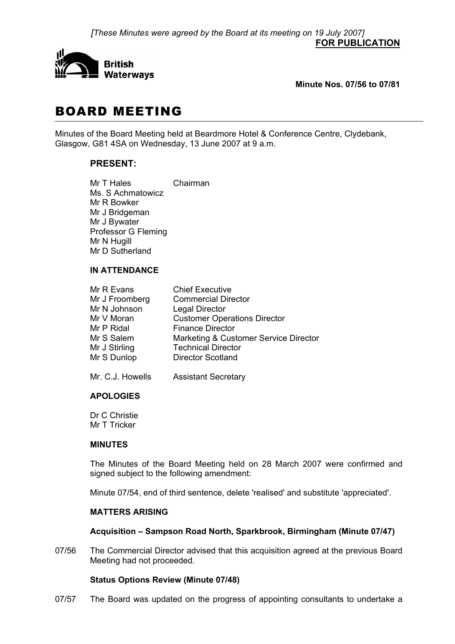*[These Minutes were agreed by the Board at its meeting on 19 July 2007]* **FOR PUBLICATION**



**Minute Nos. 07/56 to 07/81** 

# BOARD MEETING

Minutes of the Board Meeting held at Beardmore Hotel & Conference Centre, Clydebank, Glasgow, G81 4SA on Wednesday, 13 June 2007 at 9 a.m.

# **PRESENT:**

Mr T Hales Chairman Ms. S Achmatowicz Mr R Bowker Mr J Bridgeman Mr J Bywater Professor G Fleming Mr N Hugill Mr D Sutherland

# **IN ATTENDANCE**

| Mr R Evans     | <b>Chief Executive</b>                |
|----------------|---------------------------------------|
| Mr J Froomberg | <b>Commercial Director</b>            |
| Mr N Johnson   | <b>Legal Director</b>                 |
| Mr V Moran     | <b>Customer Operations Director</b>   |
| Mr P Ridal     | <b>Finance Director</b>               |
| Mr S Salem     | Marketing & Customer Service Director |
| Mr J Stirling  | <b>Technical Director</b>             |
| Mr S Dunlop    | <b>Director Scotland</b>              |
|                |                                       |

Mr. C.J. Howells Assistant Secretary

# **APOLOGIES**

 Dr C Christie Mr T Tricker

#### **MINUTES**

 The Minutes of the Board Meeting held on 28 March 2007 were confirmed and signed subject to the following amendment:

Minute 07/54, end of third sentence, delete 'realised' and substitute 'appreciated'.

#### **MATTERS ARISING**

# **Acquisition – Sampson Road North, Sparkbrook, Birmingham (Minute 07/47)**

07/56 The Commercial Director advised that this acquisition agreed at the previous Board Meeting had not proceeded.

# **Status Options Review (Minute 07/48)**

07/57 The Board was updated on the progress of appointing consultants to undertake a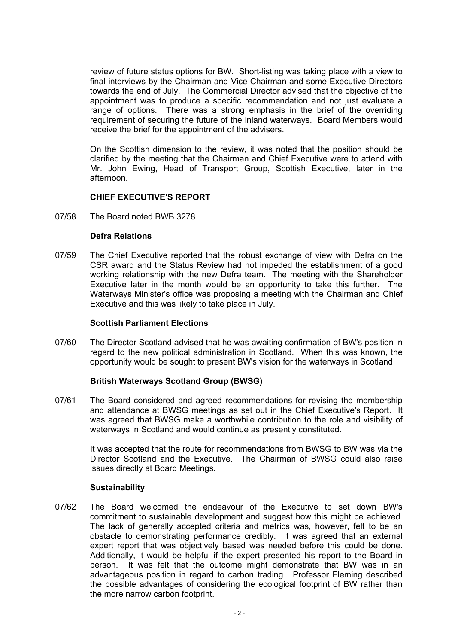review of future status options for BW. Short-listing was taking place with a view to final interviews by the Chairman and Vice-Chairman and some Executive Directors towards the end of July. The Commercial Director advised that the objective of the appointment was to produce a specific recommendation and not just evaluate a range of options. There was a strong emphasis in the brief of the overriding requirement of securing the future of the inland waterways. Board Members would receive the brief for the appointment of the advisers.

 On the Scottish dimension to the review, it was noted that the position should be clarified by the meeting that the Chairman and Chief Executive were to attend with Mr. John Ewing, Head of Transport Group, Scottish Executive, later in the afternoon.

# **CHIEF EXECUTIVE'S REPORT**

07/58 The Board noted BWB 3278.

#### **Defra Relations**

07/59 The Chief Executive reported that the robust exchange of view with Defra on the CSR award and the Status Review had not impeded the establishment of a good working relationship with the new Defra team. The meeting with the Shareholder Executive later in the month would be an opportunity to take this further. The Waterways Minister's office was proposing a meeting with the Chairman and Chief Executive and this was likely to take place in July.

#### **Scottish Parliament Elections**

07/60 The Director Scotland advised that he was awaiting confirmation of BW's position in regard to the new political administration in Scotland. When this was known, the opportunity would be sought to present BW's vision for the waterways in Scotland.

# **British Waterways Scotland Group (BWSG)**

07/61 The Board considered and agreed recommendations for revising the membership and attendance at BWSG meetings as set out in the Chief Executive's Report. It was agreed that BWSG make a worthwhile contribution to the role and visibility of waterways in Scotland and would continue as presently constituted.

 It was accepted that the route for recommendations from BWSG to BW was via the Director Scotland and the Executive. The Chairman of BWSG could also raise issues directly at Board Meetings.

#### **Sustainability**

07/62 The Board welcomed the endeavour of the Executive to set down BW's commitment to sustainable development and suggest how this might be achieved. The lack of generally accepted criteria and metrics was, however, felt to be an obstacle to demonstrating performance credibly. It was agreed that an external expert report that was objectively based was needed before this could be done. Additionally, it would be helpful if the expert presented his report to the Board in person. It was felt that the outcome might demonstrate that BW was in an advantageous position in regard to carbon trading. Professor Fleming described the possible advantages of considering the ecological footprint of BW rather than the more narrow carbon footprint.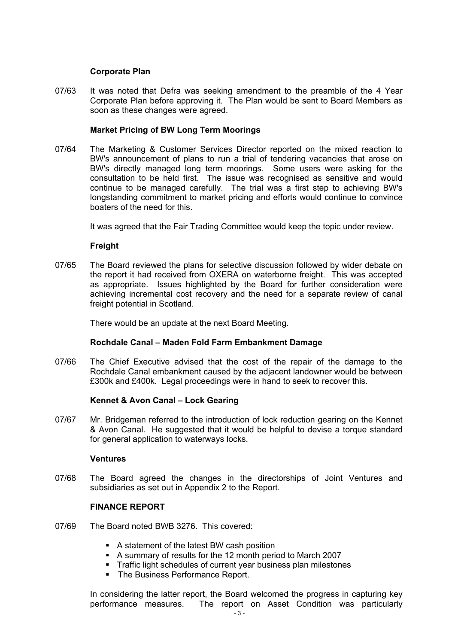## **Corporate Plan**

07/63 It was noted that Defra was seeking amendment to the preamble of the 4 Year Corporate Plan before approving it. The Plan would be sent to Board Members as soon as these changes were agreed.

## **Market Pricing of BW Long Term Moorings**

07/64 The Marketing & Customer Services Director reported on the mixed reaction to BW's announcement of plans to run a trial of tendering vacancies that arose on BW's directly managed long term moorings. Some users were asking for the consultation to be held first. The issue was recognised as sensitive and would continue to be managed carefully. The trial was a first step to achieving BW's longstanding commitment to market pricing and efforts would continue to convince boaters of the need for this.

It was agreed that the Fair Trading Committee would keep the topic under review.

#### **Freight**

07/65 The Board reviewed the plans for selective discussion followed by wider debate on the report it had received from OXERA on waterborne freight. This was accepted as appropriate. Issues highlighted by the Board for further consideration were achieving incremental cost recovery and the need for a separate review of canal freight potential in Scotland.

There would be an update at the next Board Meeting.

#### **Rochdale Canal – Maden Fold Farm Embankment Damage**

07/66 The Chief Executive advised that the cost of the repair of the damage to the Rochdale Canal embankment caused by the adjacent landowner would be between £300k and £400k. Legal proceedings were in hand to seek to recover this.

#### **Kennet & Avon Canal – Lock Gearing**

07/67 Mr. Bridgeman referred to the introduction of lock reduction gearing on the Kennet & Avon Canal. He suggested that it would be helpful to devise a torque standard for general application to waterways locks.

#### **Ventures**

07/68 The Board agreed the changes in the directorships of Joint Ventures and subsidiaries as set out in Appendix 2 to the Report.

#### **FINANCE REPORT**

- 07/69 The Board noted BWB 3276. This covered:
	- A statement of the latest BW cash position
	- A summary of results for the 12 month period to March 2007
	- Traffic light schedules of current year business plan milestones
	- The Business Performance Report.

 In considering the latter report, the Board welcomed the progress in capturing key performance measures. The report on Asset Condition was particularly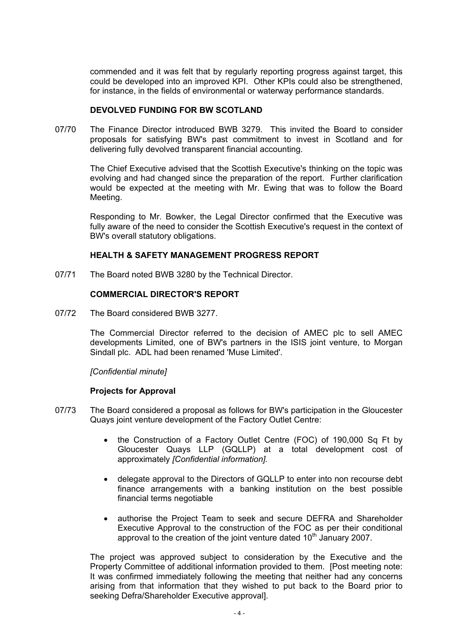commended and it was felt that by regularly reporting progress against target, this could be developed into an improved KPI. Other KPIs could also be strengthened, for instance, in the fields of environmental or waterway performance standards.

#### **DEVOLVED FUNDING FOR BW SCOTLAND**

07/70 The Finance Director introduced BWB 3279. This invited the Board to consider proposals for satisfying BW's past commitment to invest in Scotland and for delivering fully devolved transparent financial accounting.

 The Chief Executive advised that the Scottish Executive's thinking on the topic was evolving and had changed since the preparation of the report. Further clarification would be expected at the meeting with Mr. Ewing that was to follow the Board Meeting.

 Responding to Mr. Bowker, the Legal Director confirmed that the Executive was fully aware of the need to consider the Scottish Executive's request in the context of BW's overall statutory obligations.

# **HEALTH & SAFETY MANAGEMENT PROGRESS REPORT**

07/71 The Board noted BWB 3280 by the Technical Director.

#### **COMMERCIAL DIRECTOR'S REPORT**

07/72 The Board considered BWB 3277.

 The Commercial Director referred to the decision of AMEC plc to sell AMEC developments Limited, one of BW's partners in the ISIS joint venture, to Morgan Sindall plc. ADL had been renamed 'Muse Limited'.

*[Confidential minute]*

# **Projects for Approval**

- 07/73 The Board considered a proposal as follows for BW's participation in the Gloucester Quays joint venture development of the Factory Outlet Centre:
	- the Construction of a Factory Outlet Centre (FOC) of 190,000 Sq Ft by Gloucester Quays LLP (GQLLP) at a total development cost of approximately *[Confidential information].*
	- delegate approval to the Directors of GQLLP to enter into non recourse debt finance arrangements with a banking institution on the best possible financial terms negotiable
	- authorise the Project Team to seek and secure DEFRA and Shareholder Executive Approval to the construction of the FOC as per their conditional approval to the creation of the joint venture dated  $10<sup>th</sup>$  January 2007.

 The project was approved subject to consideration by the Executive and the Property Committee of additional information provided to them. [Post meeting note: It was confirmed immediately following the meeting that neither had any concerns arising from that information that they wished to put back to the Board prior to seeking Defra/Shareholder Executive approval].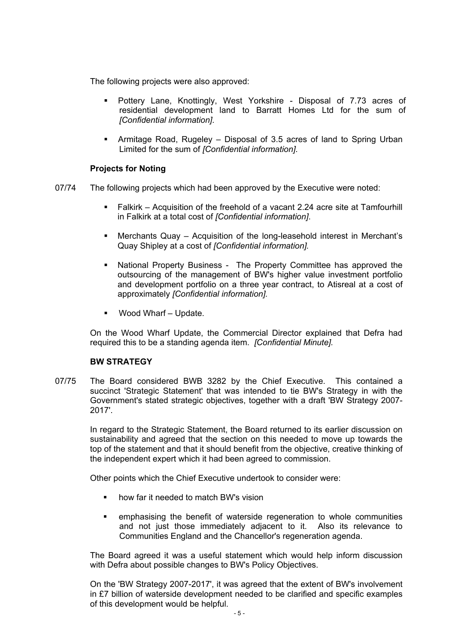The following projects were also approved:

- Pottery Lane, Knottingly, West Yorkshire Disposal of 7.73 acres of residential development land to Barratt Homes Ltd for the sum of *[Confidential information].*
- Armitage Road, Rugeley Disposal of 3.5 acres of land to Spring Urban Limited for the sum of *[Confidential information]*.

# **Projects for Noting**

- 07/74 The following projects which had been approved by the Executive were noted:
	- Falkirk Acquisition of the freehold of a vacant 2.24 acre site at Tamfourhill in Falkirk at a total cost of *[Confidential information]*.
	- Merchants Quay Acquisition of the long-leasehold interest in Merchant's Quay Shipley at a cost of *[Confidential information].*
	- National Property Business -The Property Committee has approved the outsourcing of the management of BW's higher value investment portfolio and development portfolio on a three year contract, to Atisreal at a cost of approximately *[Confidential information].*
	- Wood Wharf Update.

 On the Wood Wharf Update, the Commercial Director explained that Defra had required this to be a standing agenda item. *[Confidential Minute].*

# **BW STRATEGY**

07/75 The Board considered BWB 3282 by the Chief Executive. This contained a succinct 'Strategic Statement' that was intended to tie BW's Strategy in with the Government's stated strategic objectives, together with a draft 'BW Strategy 2007- 2017'.

 In regard to the Strategic Statement, the Board returned to its earlier discussion on sustainability and agreed that the section on this needed to move up towards the top of the statement and that it should benefit from the objective, creative thinking of the independent expert which it had been agreed to commission.

Other points which the Chief Executive undertook to consider were:

- how far it needed to match BW's vision
- emphasising the benefit of waterside regeneration to whole communities and not just those immediately adjacent to it. Also its relevance to Communities England and the Chancellor's regeneration agenda.

 The Board agreed it was a useful statement which would help inform discussion with Defra about possible changes to BW's Policy Objectives.

 On the 'BW Strategy 2007-2017', it was agreed that the extent of BW's involvement in £7 billion of waterside development needed to be clarified and specific examples of this development would be helpful.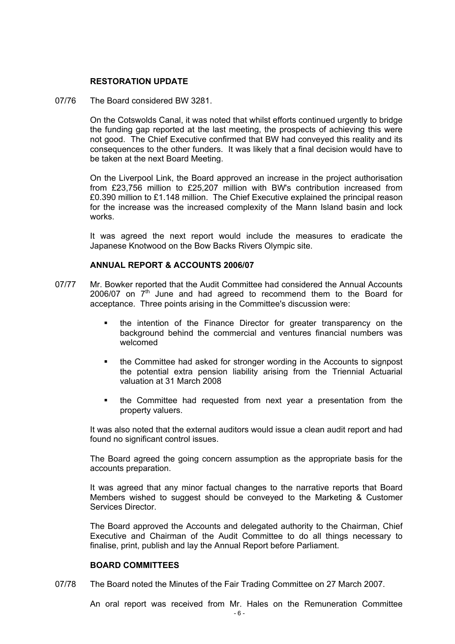## **RESTORATION UPDATE**

07/76 The Board considered BW 3281.

 On the Cotswolds Canal, it was noted that whilst efforts continued urgently to bridge the funding gap reported at the last meeting, the prospects of achieving this were not good. The Chief Executive confirmed that BW had conveyed this reality and its consequences to the other funders. It was likely that a final decision would have to be taken at the next Board Meeting.

 On the Liverpool Link, the Board approved an increase in the project authorisation from £23,756 million to £25,207 million with BW's contribution increased from £0.390 million to £1.148 million. The Chief Executive explained the principal reason for the increase was the increased complexity of the Mann Island basin and lock works.

 It was agreed the next report would include the measures to eradicate the Japanese Knotwood on the Bow Backs Rivers Olympic site.

#### **ANNUAL REPORT & ACCOUNTS 2006/07**

- 07/77 Mr. Bowker reported that the Audit Committee had considered the Annual Accounts 2006/07 on  $7<sup>th</sup>$  June and had agreed to recommend them to the Board for acceptance. Three points arising in the Committee's discussion were:
	- the intention of the Finance Director for greater transparency on the background behind the commercial and ventures financial numbers was welcomed
	- the Committee had asked for stronger wording in the Accounts to signpost the potential extra pension liability arising from the Triennial Actuarial valuation at 31 March 2008
	- the Committee had requested from next year a presentation from the property valuers.

 It was also noted that the external auditors would issue a clean audit report and had found no significant control issues.

 The Board agreed the going concern assumption as the appropriate basis for the accounts preparation.

 It was agreed that any minor factual changes to the narrative reports that Board Members wished to suggest should be conveyed to the Marketing & Customer Services Director.

 The Board approved the Accounts and delegated authority to the Chairman, Chief Executive and Chairman of the Audit Committee to do all things necessary to finalise, print, publish and lay the Annual Report before Parliament.

#### **BOARD COMMITTEES**

07/78 The Board noted the Minutes of the Fair Trading Committee on 27 March 2007.

An oral report was received from Mr. Hales on the Remuneration Committee